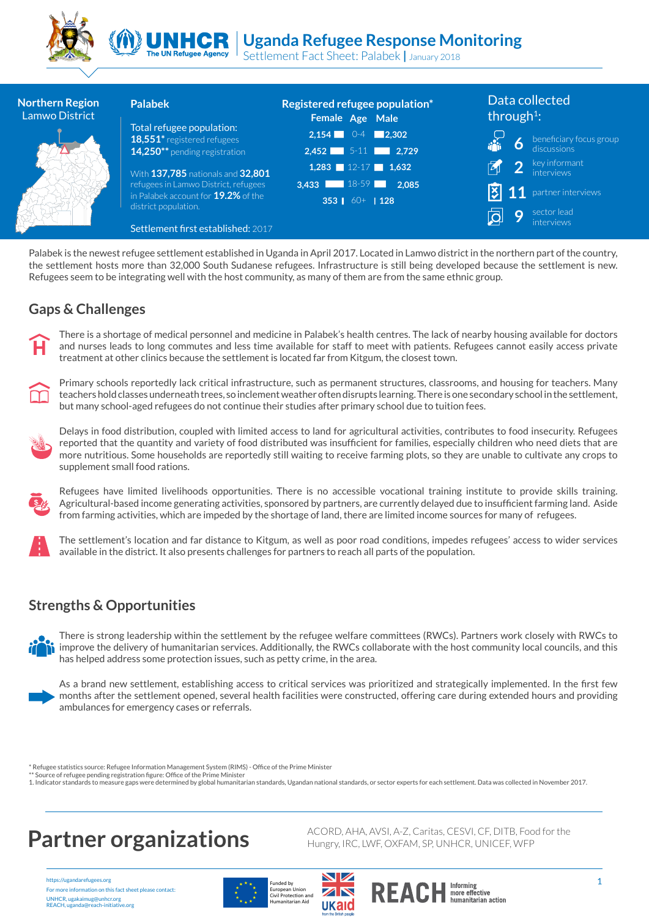



Settlement Fact Sheet: Palabek **|** January 2018 **The UN Refugee Agency** 

| <b>Northern Region</b><br>Lamwo District | <b>Palabek</b>                                                     | Registered refugee population*<br>Female Age Male | Data collected<br>through <sup>1</sup> : |
|------------------------------------------|--------------------------------------------------------------------|---------------------------------------------------|------------------------------------------|
|                                          | Total refugee population:<br>18,551* registered refugees           | $2,154$ 0-4 2,302                                 |                                          |
|                                          | 14,250** pending registration                                      | $2,452$ 5-11 2,729                                | $\overline{6}$ beneficiary focus group   |
|                                          | With 137,785 nationals and 32,801                                  | $1,283$ $12-17$ $1,632$                           | <sup>2</sup> key informant               |
|                                          | refugees in Lamwo District, refugees                               | 3,433 18-59 2,085                                 | <b>11</b> partner interviews             |
|                                          | in Palabek account for <b>19.2%</b> of the<br>district population. | 353 60+ 128                                       |                                          |
|                                          | Settlement first established: 2017                                 |                                                   | sector lead<br>Ο<br>interviews           |

Palabek is the newest refugee settlement established in Uganda in April 2017. Located in Lamwo district in the northern part of the country, the settlement hosts more than 32,000 South Sudanese refugees. Infrastructure is still being developed because the settlement is new. Refugees seem to be integrating well with the host community, as many of them are from the same ethnic group.

### **Gaps & Challenges**



There is a shortage of medical personnel and medicine in Palabek's health centres. The lack of nearby housing available for doctors and nurses leads to long commutes and less time available for staff to meet with patients. Refugees cannot easily access private treatment at other clinics because the settlement is located far from Kitgum, the closest town.



Primary schools reportedly lack critical infrastructure, such as permanent structures, classrooms, and housing for teachers. Many teachers hold classes underneath trees, so inclement weather often disrupts learning. There is one secondary school in the settlement, but many school-aged refugees do not continue their studies after primary school due to tuition fees.



Delays in food distribution, coupled with limited access to land for agricultural activities, contributes to food insecurity. Refugees reported that the quantity and variety of food distributed was insufficient for families, especially children who need diets that are more nutritious. Some households are reportedly still waiting to receive farming plots, so they are unable to cultivate any crops to supplement small food rations.



Refugees have limited livelihoods opportunities. There is no accessible vocational training institute to provide skills training. Agricultural-based income generating activities, sponsored by partners, are currently delayed due to insufficient farming land. Aside from farming activities, which are impeded by the shortage of land, there are limited income sources for many of refugees.



The settlement's location and far distance to Kitgum, as well as poor road conditions, impedes refugees' access to wider services available in the district. It also presents challenges for partners to reach all parts of the population.

### **Strengths & Opportunities**



There is strong leadership within the settlement by the refugee welfare committees (RWCs). Partners work closely with RWCs to improve the delivery of humanitarian services. Additionally, the RWCs collaborate with the host community local councils, and this has helped address some protection issues, such as petty crime, in the area.



As a brand new settlement, establishing access to critical services was prioritized and strategically implemented. In the first few months after the settlement opened, several health facilities were constructed, offering care during extended hours and providing ambulances for emergency cases or referrals.

Refugee statistics source: Refugee Information Management System (RIMS) - Office of the Prime Minister

\*\* Source of refugee pending registration figure: Office of the Prime Minister

1. Indicator standards to measure gaps were determined by global humanitarian standards, Ugandan national standards, or sector experts for each settlement. Data was collected in November 2017.

https://ugandarefugees.org For more information on this fact sheet please contact: UNHCR, ugakaimug@unhcr.org REACH, uganda@reach-initiative.org







**Partner organizations** ACORD, AHA, AVSI, A-Z, Caritas, CESVI, CF, DITB, Food for the **Partner organizations** 

more effective<br>humanitarian action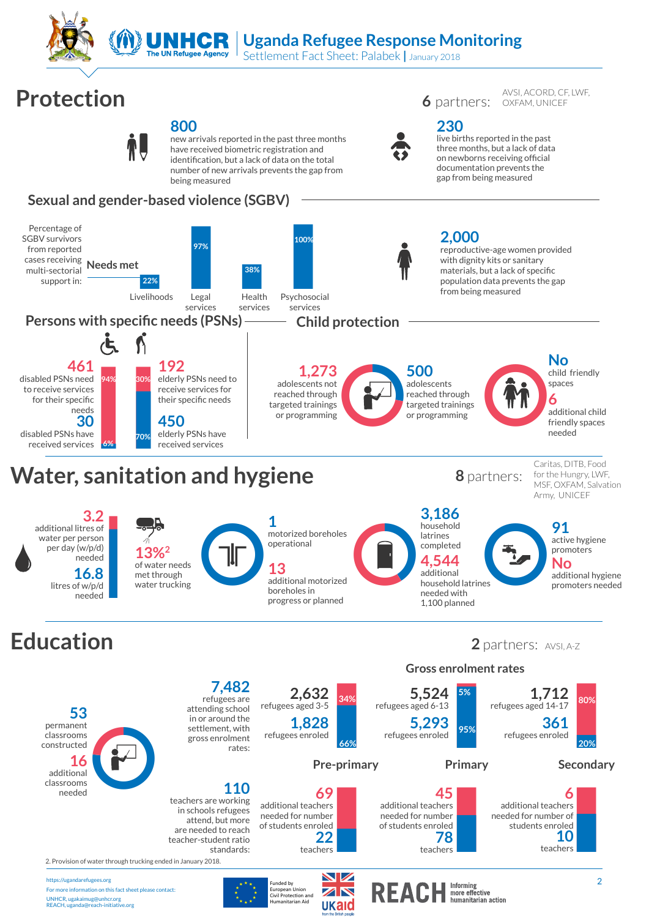

# **Uganda Refugee Response Monitoring**

**230** 

live births reported in the past three months, but a lack of data on newborns receiving official documentation prevents the gap from being measured

AVSI, ACORD, CF, LWF OXFAM, UNICEF

Settlement Fact Sheet: Palabek **|** January 2018

# **Protection 6** partners:



new arrivals reported in the past three months have received biometric registration and identification, but a lack of data on the total number of new arrivals prevents the gap from being measured

## **Sexual and gender-based violence (SGBV)**





2. Provision of water through trucking ended in January 2018.

https://ugandarefugees.org For more information on this fact sheet please contact: UNHCR, ugakaimug@unhcr.org REACH, uganda@reach-initiative.org



European Union<br>Civil Protection and<br>Humanitarian Aid